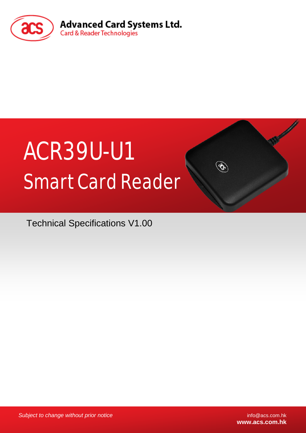

# ACR39U-U1 Smart Card Reader

Technical Specifications V1.00

**Subject to change without prior notice** info@acs.com.hk

**www.acs.com.hk**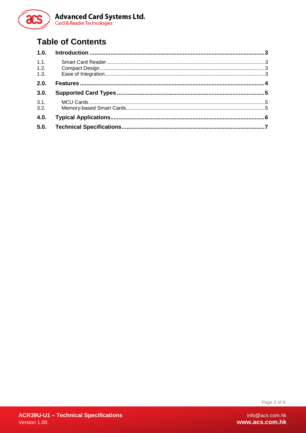

# **Table of Contents**

| 1.1. |  |
|------|--|
| 1.2. |  |
| 1.3. |  |
| 2.0. |  |
| 3.0. |  |
| 3.1. |  |
| 3.2. |  |
| 4.0. |  |
| 5.0. |  |

Page 2 of 8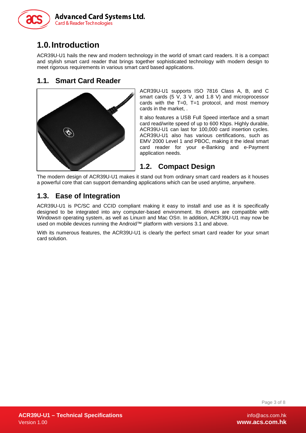

# <span id="page-2-0"></span>**1.0.Introduction**

ACR39U-U1 hails the new and modern technology in the world of smart card readers. It is a compact and stylish smart card reader that brings together sophisticated technology with modern design to meet rigorous requirements in various smart card based applications.

### <span id="page-2-1"></span>**1.1. Smart Card Reader**



ACR39U-U1 supports ISO 7816 Class A, B, and C smart cards (5 V, 3 V, and 1.8 V) and microprocessor cards with the  $T=0$ ,  $T=1$  protocol, and most memory cards in the market, .

It also features a USB Full Speed interface and a smart card read/write speed of up to 600 Kbps. Highly durable, ACR39U-U1 can last for 100,000 card insertion cycles. ACR39U-U1 also has various certifications, such as EMV 2000 Level 1 and PBOC, making it the ideal smart card reader for your e-Banking and e-Payment application needs.

#### <span id="page-2-2"></span>**1.2. Compact Design**

The modern design of ACR39U-U1 makes it stand out from ordinary smart card readers as it houses a powerful core that can support demanding applications which can be used anytime, anywhere.

## <span id="page-2-3"></span>**1.3. Ease of Integration**

ACR39U-U1 is PC/SC and CCID compliant making it easy to install and use as it is specifically designed to be integrated into any computer-based environment. Its drivers are compatible with Windows® operating system, as well as Linux® and Mac OS®. In addition, ACR39U-U1 may now be used on mobile devices running the Android™ platform with versions 3.1 and above.

With its numerous features, the ACR39U-U1 is clearly the perfect smart card reader for your smart card solution.

Page 3 of 8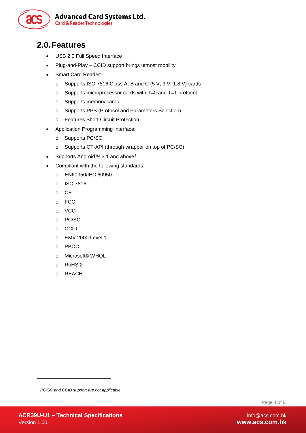

## <span id="page-3-0"></span>**2.0.Features**

- USB 2.0 Full Speed Interface
- Plug-and-Play CCID support brings utmost mobility
- Smart Card Reader:
	- o Supports ISO 7816 Class A, B and C (5 V, 3 V, 1.8 V) cards
	- o Supports microprocessor cards with T=0 and T=1 protocol
	- o Supports memory cards
	- o Supports PPS (Protocol and Parameters Selection)
	- o Features Short Circuit Protection
- Application Programming Interface:
	- o Supports PC/SC
	- o Supports CT-API (through wrapper on top of PC/SC)
- Supports Android<sup>™</sup> 3.[1](#page-3-1) and above<sup>1</sup>
- Compliant with the following standards:
	- o EN60950/IEC 60950
	- o ISO 7816
	- o CE
	- o FCC
	- o VCCI
	- o PC/SC
	- o CCID
	- o EMV 2000 Level 1
	- o PBOC
	- o Microsoft® WHQL
	- o RoHS 2
	- o REACH

Page 4 of 8

-

<span id="page-3-1"></span><sup>1</sup> *PC/SC and CCID support are not applicable*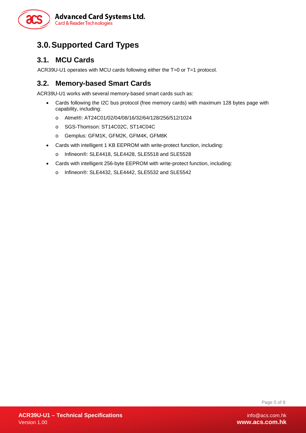

## <span id="page-4-0"></span>**3.0.Supported Card Types**

#### <span id="page-4-1"></span>**3.1. MCU Cards**

<span id="page-4-2"></span>ACR39U-U1 operates with MCU cards following either the T=0 or T=1 protocol.

## **3.2. Memory-based Smart Cards**

ACR39U-U1 works with several memory-based smart cards such as:

- Cards following the I2C bus protocol (free memory cards) with maximum 128 bytes page with capability, including:
	- o Atmel®: AT24C01/02/04/08/16/32/64/128/256/512/1024
	- o SGS-Thomson: ST14C02C, ST14C04C
	- o Gemplus: GFM1K, GFM2K, GFM4K, GFM8K
- Cards with intelligent 1 KB EEPROM with write-protect function, including:
	- o Infineon®: SLE4418, SLE4428, SLE5518 and SLE5528
- Cards with intelligent 256-byte EEPROM with write-protect function, including:
	- o Infineon®: SLE4432, SLE4442, SLE5532 and SLE5542

Page 5 of 8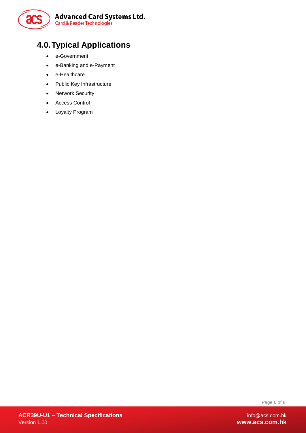

# <span id="page-5-0"></span>**4.0.Typical Applications**

- e-Government
- e-Banking and e-Payment
- e-Healthcare
- Public Key Infrastructure
- Network Security
- Access Control
- Loyalty Program

Page 6 of 8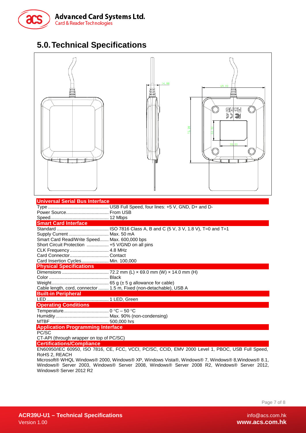

# <span id="page-6-0"></span>**5.0.Technical Specifications**



| Universal Serial Bus Interface                                                                   |                                                                     |  |  |
|--------------------------------------------------------------------------------------------------|---------------------------------------------------------------------|--|--|
|                                                                                                  |                                                                     |  |  |
|                                                                                                  |                                                                     |  |  |
|                                                                                                  |                                                                     |  |  |
| <b>Smart Card Interface</b>                                                                      |                                                                     |  |  |
|                                                                                                  |                                                                     |  |  |
| Supply Current  Max. 50 mA                                                                       |                                                                     |  |  |
| Smart Card Read/Write Speed Max. 600,000 bps                                                     |                                                                     |  |  |
| Short Circuit Protection  +5 V/GND on all pins                                                   |                                                                     |  |  |
| CLK Frequency  4.8 MHz                                                                           |                                                                     |  |  |
|                                                                                                  |                                                                     |  |  |
| Card Insertion Cycles Min. 100,000                                                               |                                                                     |  |  |
| <b>Physical Specifications</b>                                                                   |                                                                     |  |  |
|                                                                                                  |                                                                     |  |  |
|                                                                                                  |                                                                     |  |  |
|                                                                                                  |                                                                     |  |  |
|                                                                                                  | Cable length, cord, connector  1.5 m, Fixed (non-detachable), USB A |  |  |
| <b>Built-in Peripheral</b>                                                                       |                                                                     |  |  |
|                                                                                                  |                                                                     |  |  |
| <b>Operating Conditions</b>                                                                      |                                                                     |  |  |
|                                                                                                  |                                                                     |  |  |
|                                                                                                  |                                                                     |  |  |
|                                                                                                  |                                                                     |  |  |
| <b>Application Programming Interface</b>                                                         |                                                                     |  |  |
| PC/SC                                                                                            |                                                                     |  |  |
| CT-API (through wrapper on top of PC/SC)                                                         |                                                                     |  |  |
| <b>Certifications/Compliance</b>                                                                 |                                                                     |  |  |
| EN60950/IEC 60950, ISO 7816, CE, FCC, VCCI, PC/SC, CCID, EMV 2000 Level 1, PBOC, USB Full Speed, |                                                                     |  |  |
| RoHS 2, REACH                                                                                    |                                                                     |  |  |

Microsoft® WHQL Windows® 2000, Windows® XP, Windows Vista®, Windows® 7, Windows® 8,Windows® 8.1, Windows® Server 2003, Windows® Server 2008, Windows® Server 2008 R2, Windows® Server 2012, Windows® Server 2012 R2

Page 7 of 8